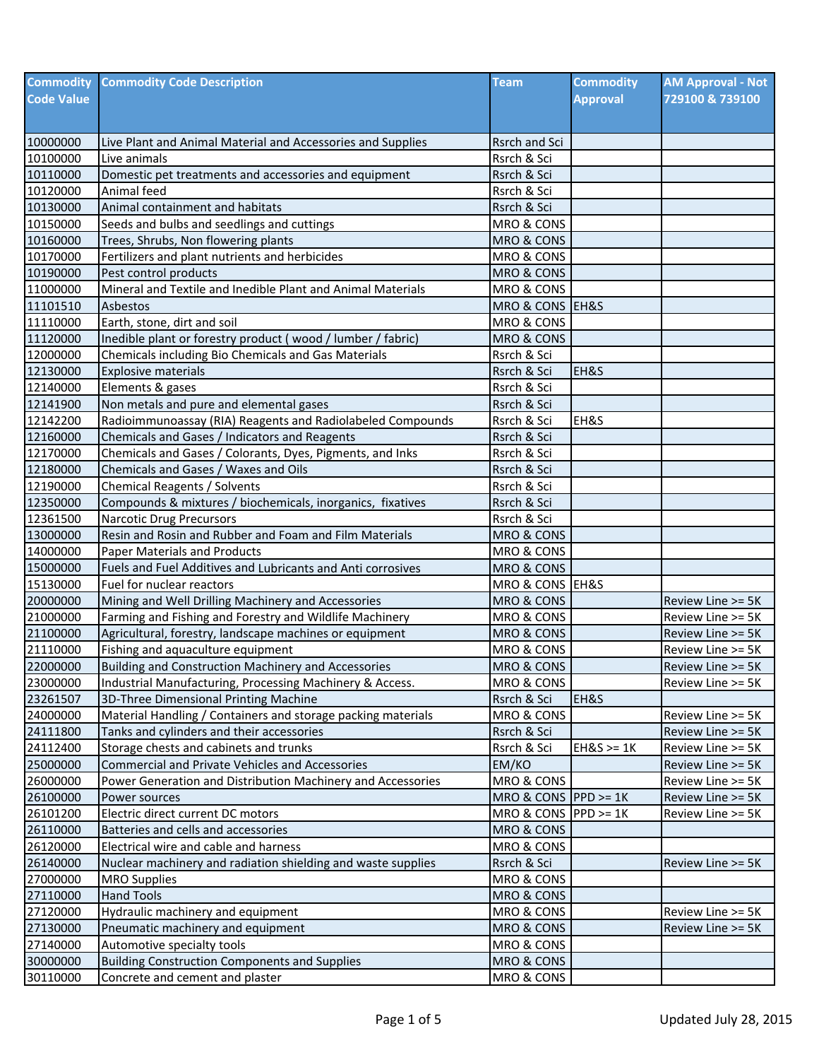| <b>Commodity</b>     | <b>Commodity Code Description</b>                                           | <b>Team</b>                         | <b>Commodity</b> | <b>AM Approval - Not</b> |
|----------------------|-----------------------------------------------------------------------------|-------------------------------------|------------------|--------------------------|
| <b>Code Value</b>    |                                                                             |                                     | <b>Approval</b>  | 729100 & 739100          |
|                      |                                                                             |                                     |                  |                          |
|                      |                                                                             |                                     |                  |                          |
| 10000000<br>10100000 | Live Plant and Animal Material and Accessories and Supplies<br>Live animals | <b>Rsrch and Sci</b><br>Rsrch & Sci |                  |                          |
| 10110000             | Domestic pet treatments and accessories and equipment                       | Rsrch & Sci                         |                  |                          |
| 10120000             | Animal feed                                                                 | Rsrch & Sci                         |                  |                          |
| 10130000             | Animal containment and habitats                                             | Rsrch & Sci                         |                  |                          |
| 10150000             | Seeds and bulbs and seedlings and cuttings                                  | MRO & CONS                          |                  |                          |
| 10160000             | Trees, Shrubs, Non flowering plants                                         | MRO & CONS                          |                  |                          |
| 10170000             | Fertilizers and plant nutrients and herbicides                              | MRO & CONS                          |                  |                          |
| 10190000             | Pest control products                                                       | MRO & CONS                          |                  |                          |
| 11000000             | Mineral and Textile and Inedible Plant and Animal Materials                 | MRO & CONS                          |                  |                          |
| 11101510             | Asbestos                                                                    | MRO & CONS EH&S                     |                  |                          |
| 11110000             | Earth, stone, dirt and soil                                                 | MRO & CONS                          |                  |                          |
| 11120000             | Inedible plant or forestry product (wood / lumber / fabric)                 | MRO & CONS                          |                  |                          |
| 12000000             | Chemicals including Bio Chemicals and Gas Materials                         | Rsrch & Sci                         |                  |                          |
| 12130000             | <b>Explosive materials</b>                                                  | Rsrch & Sci                         | EH&S             |                          |
| 12140000             | Elements & gases                                                            | Rsrch & Sci                         |                  |                          |
| 12141900             | Non metals and pure and elemental gases                                     | Rsrch & Sci                         |                  |                          |
| 12142200             | Radioimmunoassay (RIA) Reagents and Radiolabeled Compounds                  | Rsrch & Sci                         | EH&S             |                          |
| 12160000             | Chemicals and Gases / Indicators and Reagents                               | Rsrch & Sci                         |                  |                          |
| 12170000             | Chemicals and Gases / Colorants, Dyes, Pigments, and Inks                   | Rsrch & Sci                         |                  |                          |
| 12180000             | Chemicals and Gases / Waxes and Oils                                        | Rsrch & Sci                         |                  |                          |
| 12190000             | <b>Chemical Reagents / Solvents</b>                                         | Rsrch & Sci                         |                  |                          |
| 12350000             | Compounds & mixtures / biochemicals, inorganics, fixatives                  | Rsrch & Sci                         |                  |                          |
| 12361500             | Narcotic Drug Precursors                                                    | Rsrch & Sci                         |                  |                          |
| 13000000             | Resin and Rosin and Rubber and Foam and Film Materials                      | MRO & CONS                          |                  |                          |
| 14000000             | Paper Materials and Products                                                | MRO & CONS                          |                  |                          |
| 15000000             | Fuels and Fuel Additives and Lubricants and Anti corrosives                 | MRO & CONS                          |                  |                          |
| 15130000             | Fuel for nuclear reactors                                                   | MRO & CONS EH&S                     |                  |                          |
| 20000000             | Mining and Well Drilling Machinery and Accessories                          | MRO & CONS                          |                  | Review Line >= 5K        |
| 21000000             | Farming and Fishing and Forestry and Wildlife Machinery                     | MRO & CONS                          |                  | Review Line >= 5K        |
| 21100000             | Agricultural, forestry, landscape machines or equipment                     | MRO & CONS                          |                  | Review Line >= 5K        |
| 21110000             | Fishing and aquaculture equipment                                           | MRO & CONS                          |                  | Review Line >= 5K        |
| 22000000             | Building and Construction Machinery and Accessories                         | <b>MRO &amp; CONS</b>               |                  | Review Line >= 5K        |
| 23000000             | Industrial Manufacturing, Processing Machinery & Access.                    | MRO & CONS                          |                  | Review Line >= 5K        |
| 23261507             | 3D-Three Dimensional Printing Machine                                       | Rsrch & Sci                         | EH&S             |                          |
| 24000000             | Material Handling / Containers and storage packing materials                | MRO & CONS                          |                  | Review Line >= 5K        |
| 24111800             | Tanks and cylinders and their accessories                                   | Rsrch & Sci                         |                  | Review Line >= 5K        |
| 24112400             | Storage chests and cabinets and trunks                                      | Rsrch & Sci                         | $EH&S \geq 1K$   | Review Line >= 5K        |
| 25000000             | <b>Commercial and Private Vehicles and Accessories</b>                      | EM/KO                               |                  | Review Line >= 5K        |
| 26000000             | Power Generation and Distribution Machinery and Accessories                 | MRO & CONS                          |                  | Review Line >= 5K        |
| 26100000             | Power sources                                                               | MRO & CONS   PPD >= 1K              |                  | Review Line >= 5K        |
| 26101200             | Electric direct current DC motors                                           | MRO & CONS $PPD \ge 1K$             |                  | Review Line >= 5K        |
| 26110000             | Batteries and cells and accessories                                         | MRO & CONS                          |                  |                          |
| 26120000             | Electrical wire and cable and harness                                       | MRO & CONS                          |                  |                          |
| 26140000             | Nuclear machinery and radiation shielding and waste supplies                | Rsrch & Sci                         |                  | Review Line >= 5K        |
| 27000000             | <b>MRO Supplies</b>                                                         | MRO & CONS                          |                  |                          |
| 27110000             | <b>Hand Tools</b>                                                           | MRO & CONS                          |                  |                          |
| 27120000<br>27130000 | Hydraulic machinery and equipment                                           | MRO & CONS                          |                  | Review Line >= 5K        |
| 27140000             | Pneumatic machinery and equipment<br>Automotive specialty tools             | MRO & CONS<br>MRO & CONS            |                  | Review Line >= 5K        |
| 30000000             | <b>Building Construction Components and Supplies</b>                        | MRO & CONS                          |                  |                          |
| 30110000             | Concrete and cement and plaster                                             | MRO & CONS                          |                  |                          |
|                      |                                                                             |                                     |                  |                          |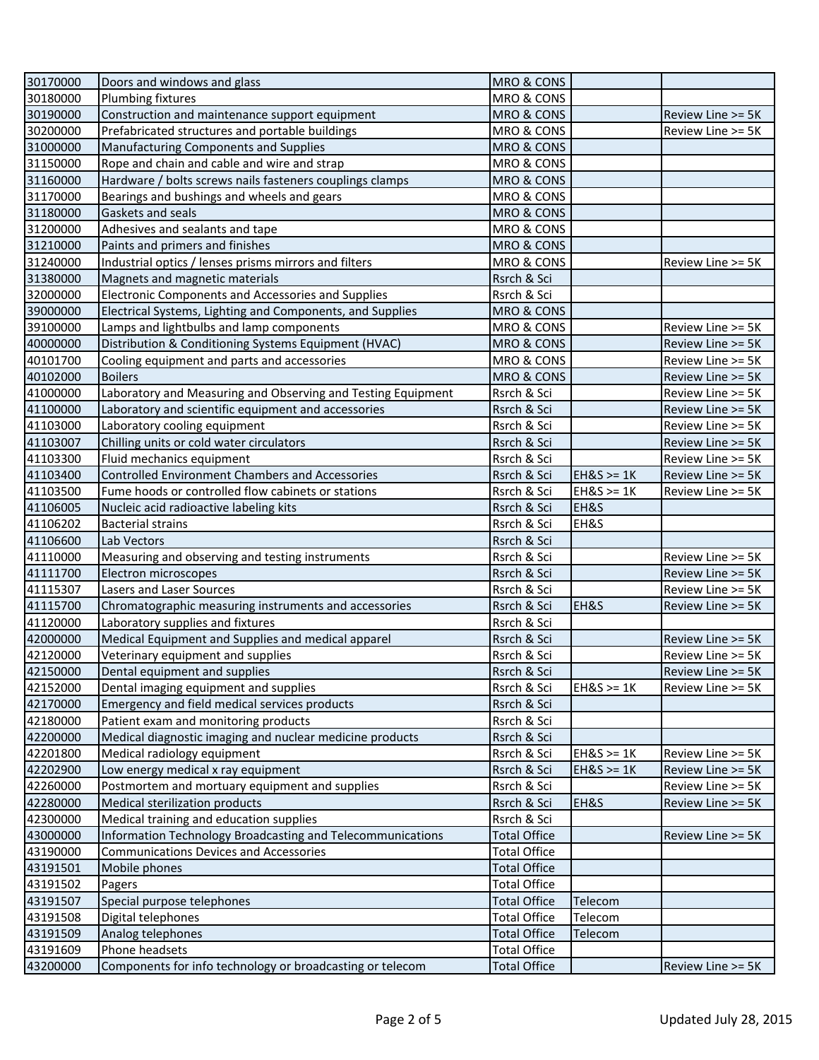| 30170000 | Doors and windows and glass                                  | <b>MRO &amp; CONS</b> |                |                   |
|----------|--------------------------------------------------------------|-----------------------|----------------|-------------------|
| 30180000 | Plumbing fixtures                                            | MRO & CONS            |                |                   |
| 30190000 | Construction and maintenance support equipment               | MRO & CONS            |                | Review Line >= 5K |
| 30200000 | Prefabricated structures and portable buildings              | MRO & CONS            |                | Review Line >= 5K |
| 31000000 | Manufacturing Components and Supplies                        | <b>MRO &amp; CONS</b> |                |                   |
| 31150000 | Rope and chain and cable and wire and strap                  | MRO & CONS            |                |                   |
| 31160000 | Hardware / bolts screws nails fasteners couplings clamps     | MRO & CONS            |                |                   |
| 31170000 | Bearings and bushings and wheels and gears                   | MRO & CONS            |                |                   |
| 31180000 | Gaskets and seals                                            | <b>MRO &amp; CONS</b> |                |                   |
| 31200000 | Adhesives and sealants and tape                              | MRO & CONS            |                |                   |
| 31210000 | Paints and primers and finishes                              | MRO & CONS            |                |                   |
| 31240000 | Industrial optics / lenses prisms mirrors and filters        | MRO & CONS            |                | Review Line >= 5K |
| 31380000 | Magnets and magnetic materials                               | Rsrch & Sci           |                |                   |
| 32000000 | Electronic Components and Accessories and Supplies           | Rsrch & Sci           |                |                   |
| 39000000 | Electrical Systems, Lighting and Components, and Supplies    | MRO & CONS            |                |                   |
| 39100000 | Lamps and lightbulbs and lamp components                     | MRO & CONS            |                | Review Line >= 5K |
| 40000000 | Distribution & Conditioning Systems Equipment (HVAC)         | MRO & CONS            |                | Review Line >= 5K |
| 40101700 | Cooling equipment and parts and accessories                  | MRO & CONS            |                | Review Line >= 5K |
| 40102000 | <b>Boilers</b>                                               | MRO & CONS            |                | Review Line >= 5K |
| 41000000 | Laboratory and Measuring and Observing and Testing Equipment | Rsrch & Sci           |                | Review Line >= 5K |
| 41100000 | Laboratory and scientific equipment and accessories          | Rsrch & Sci           |                | Review Line >= 5K |
| 41103000 | Laboratory cooling equipment                                 | Rsrch & Sci           |                | Review Line >= 5K |
| 41103007 | Chilling units or cold water circulators                     | Rsrch & Sci           |                | Review Line >= 5K |
| 41103300 | Fluid mechanics equipment                                    | Rsrch & Sci           |                | Review Line >= 5K |
| 41103400 | <b>Controlled Environment Chambers and Accessories</b>       | Rsrch & Sci           | $EH&S \geq 1K$ | Review Line >= 5K |
| 41103500 | Fume hoods or controlled flow cabinets or stations           | Rsrch & Sci           | $EH&S \geq 1K$ | Review Line >= 5K |
| 41106005 | Nucleic acid radioactive labeling kits                       | Rsrch & Sci           | EH&S           |                   |
| 41106202 | <b>Bacterial strains</b>                                     | Rsrch & Sci           | EH&S           |                   |
| 41106600 | Lab Vectors                                                  | Rsrch & Sci           |                |                   |
| 41110000 | Measuring and observing and testing instruments              | Rsrch & Sci           |                | Review Line >= 5K |
| 41111700 | Electron microscopes                                         | Rsrch & Sci           |                | Review Line >= 5K |
| 41115307 | Lasers and Laser Sources                                     | Rsrch & Sci           |                | Review Line >= 5K |
| 41115700 | Chromatographic measuring instruments and accessories        | Rsrch & Sci           | EH&S           | Review Line >= 5K |
| 41120000 | Laboratory supplies and fixtures                             | Rsrch & Sci           |                |                   |
| 42000000 | Medical Equipment and Supplies and medical apparel           | Rsrch & Sci           |                | Review Line >= 5K |
| 42120000 | Veterinary equipment and supplies                            | Rsrch & Sci           |                | Review Line >= 5K |
| 42150000 | Dental equipment and supplies                                | Rsrch & Sci           |                | Review Line >= 5K |
| 42152000 | Dental imaging equipment and supplies                        | Rsrch & Sci           | $EH&S \geq 1K$ | Review Line >= 5K |
| 42170000 | Emergency and field medical services products                | Rsrch & Sci           |                |                   |
| 42180000 | Patient exam and monitoring products                         | Rsrch & Sci           |                |                   |
| 42200000 | Medical diagnostic imaging and nuclear medicine products     | Rsrch & Sci           |                |                   |
| 42201800 | Medical radiology equipment                                  | Rsrch & Sci           | $EH&S \geq 1K$ | Review Line >= 5K |
| 42202900 | Low energy medical x ray equipment                           | Rsrch & Sci           | $EH&S \geq 1K$ | Review Line >= 5K |
| 42260000 | Postmortem and mortuary equipment and supplies               | Rsrch & Sci           |                | Review Line >= 5K |
| 42280000 | Medical sterilization products                               | Rsrch & Sci           | EH&S           | Review Line >= 5K |
| 42300000 | Medical training and education supplies                      | Rsrch & Sci           |                |                   |
| 43000000 | Information Technology Broadcasting and Telecommunications   | <b>Total Office</b>   |                | Review Line >= 5K |
| 43190000 | <b>Communications Devices and Accessories</b>                | <b>Total Office</b>   |                |                   |
| 43191501 | Mobile phones                                                | <b>Total Office</b>   |                |                   |
| 43191502 | Pagers                                                       | <b>Total Office</b>   |                |                   |
| 43191507 | Special purpose telephones                                   | <b>Total Office</b>   | Telecom        |                   |
| 43191508 | Digital telephones                                           | <b>Total Office</b>   | Telecom        |                   |
| 43191509 | Analog telephones                                            | <b>Total Office</b>   | Telecom        |                   |
| 43191609 | Phone headsets                                               | <b>Total Office</b>   |                |                   |
| 43200000 | Components for info technology or broadcasting or telecom    | <b>Total Office</b>   |                | Review Line >= 5K |
|          |                                                              |                       |                |                   |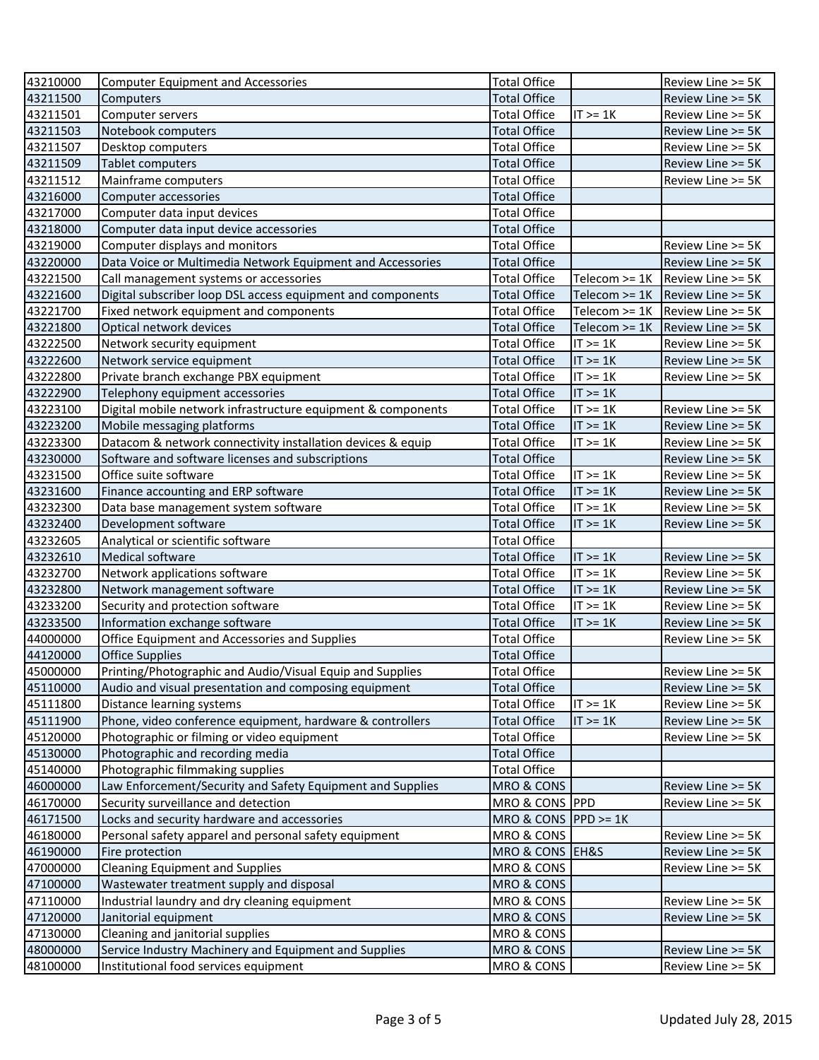| 43210000 | <b>Computer Equipment and Accessories</b>                    | <b>Total Office</b>            |                 | Review Line >= 5K |
|----------|--------------------------------------------------------------|--------------------------------|-----------------|-------------------|
| 43211500 | Computers                                                    | <b>Total Office</b>            |                 | Review Line >= 5K |
| 43211501 | Computer servers                                             | <b>Total Office</b>            | $IT \geq 1K$    | Review Line >= 5K |
| 43211503 | Notebook computers                                           | <b>Total Office</b>            |                 | Review Line >= 5K |
| 43211507 | Desktop computers                                            | <b>Total Office</b>            |                 | Review Line >= 5K |
| 43211509 | <b>Tablet computers</b>                                      | <b>Total Office</b>            |                 | Review Line >= 5K |
| 43211512 | Mainframe computers                                          | <b>Total Office</b>            |                 | Review Line >= 5K |
| 43216000 | Computer accessories                                         | <b>Total Office</b>            |                 |                   |
| 43217000 | Computer data input devices                                  | <b>Total Office</b>            |                 |                   |
| 43218000 | Computer data input device accessories                       | <b>Total Office</b>            |                 |                   |
| 43219000 | Computer displays and monitors                               | <b>Total Office</b>            |                 | Review Line >= 5K |
| 43220000 | Data Voice or Multimedia Network Equipment and Accessories   | <b>Total Office</b>            |                 | Review Line >= 5K |
| 43221500 | Call management systems or accessories                       | <b>Total Office</b>            | Telecom >= 1K   | Review Line >= 5K |
| 43221600 | Digital subscriber loop DSL access equipment and components  | <b>Total Office</b>            | Telecom $>= 1K$ | Review Line >= 5K |
| 43221700 | Fixed network equipment and components                       | <b>Total Office</b>            | Telecom $>= 1K$ | Review Line >= 5K |
| 43221800 | Optical network devices                                      | <b>Total Office</b>            | Telecom >= 1K   | Review Line >= 5K |
| 43222500 | Network security equipment                                   | <b>Total Office</b>            | $IT \geq 1K$    | Review Line >= 5K |
| 43222600 | Network service equipment                                    | <b>Total Office</b>            | $IT \geq 1K$    | Review Line >= 5K |
| 43222800 | Private branch exchange PBX equipment                        | <b>Total Office</b>            | $IT \geq 1K$    | Review Line >= 5K |
| 43222900 | Telephony equipment accessories                              | <b>Total Office</b>            | $IT \geq 1K$    |                   |
| 43223100 | Digital mobile network infrastructure equipment & components | <b>Total Office</b>            | $IT \geq 1K$    | Review Line >= 5K |
| 43223200 | Mobile messaging platforms                                   | <b>Total Office</b>            | $IT \geq 1K$    | Review Line >= 5K |
| 43223300 | Datacom & network connectivity installation devices & equip  | <b>Total Office</b>            | $IT \geq 1K$    | Review Line >= 5K |
| 43230000 | Software and software licenses and subscriptions             | <b>Total Office</b>            |                 | Review Line >= 5K |
| 43231500 | Office suite software                                        | <b>Total Office</b>            | $IT \geq 1K$    | Review Line >= 5K |
| 43231600 | Finance accounting and ERP software                          | <b>Total Office</b>            | $IT \geq 1K$    | Review Line >= 5K |
| 43232300 | Data base management system software                         | <b>Total Office</b>            | $IT \geq 1K$    | Review Line >= 5K |
| 43232400 | Development software                                         | <b>Total Office</b>            | $IT \geq 1K$    | Review Line >= 5K |
| 43232605 | Analytical or scientific software                            | <b>Total Office</b>            |                 |                   |
| 43232610 | Medical software                                             | <b>Total Office</b>            | $IT \geq 1K$    | Review Line >= 5K |
| 43232700 | Network applications software                                | <b>Total Office</b>            | $IT \geq 1K$    | Review Line >= 5K |
| 43232800 | Network management software                                  | <b>Total Office</b>            | $IT \geq 1K$    | Review Line >= 5K |
| 43233200 | Security and protection software                             | <b>Total Office</b>            | $IT \geq 1K$    | Review Line >= 5K |
| 43233500 | Information exchange software                                | <b>Total Office</b>            | $IT \geq 1K$    | Review Line >= 5K |
| 44000000 | Office Equipment and Accessories and Supplies                | <b>Total Office</b>            |                 | Review Line >= 5K |
| 44120000 | <b>Office Supplies</b>                                       | <b>Total Office</b>            |                 |                   |
| 45000000 | Printing/Photographic and Audio/Visual Equip and Supplies    | <b>Total Office</b>            |                 | Review Line >= 5K |
| 45110000 | Audio and visual presentation and composing equipment        | Total Office                   |                 | Review Line >= 5K |
| 45111800 | Distance learning systems                                    | <b>Total Office</b>            | $IT \geq 1K$    | Review Line >= 5K |
| 45111900 | Phone, video conference equipment, hardware & controllers    | <b>Total Office</b>            | $IT \geq 1K$    | Review Line >= 5K |
| 45120000 | Photographic or filming or video equipment                   | <b>Total Office</b>            |                 | Review Line >= 5K |
| 45130000 | Photographic and recording media                             | <b>Total Office</b>            |                 |                   |
| 45140000 | Photographic filmmaking supplies                             | <b>Total Office</b>            |                 |                   |
| 46000000 | Law Enforcement/Security and Safety Equipment and Supplies   | MRO & CONS                     |                 | Review Line >= 5K |
| 46170000 | Security surveillance and detection                          | MRO & CONS PPD                 |                 | Review Line >= 5K |
| 46171500 | Locks and security hardware and accessories                  | MRO & CONS $ PPD \rangle = 1K$ |                 |                   |
| 46180000 | Personal safety apparel and personal safety equipment        | MRO & CONS                     |                 | Review Line >= 5K |
| 46190000 | Fire protection                                              | MRO & CONS EH&S                |                 | Review Line >= 5K |
| 47000000 | <b>Cleaning Equipment and Supplies</b>                       | MRO & CONS                     |                 | Review Line >= 5K |
| 47100000 | Wastewater treatment supply and disposal                     | MRO & CONS                     |                 |                   |
| 47110000 | Industrial laundry and dry cleaning equipment                | MRO & CONS                     |                 | Review Line >= 5K |
| 47120000 | Janitorial equipment                                         | MRO & CONS                     |                 | Review Line >= 5K |
| 47130000 | Cleaning and janitorial supplies                             | MRO & CONS                     |                 |                   |
| 48000000 | Service Industry Machinery and Equipment and Supplies        | MRO & CONS                     |                 | Review Line >= 5K |
| 48100000 | Institutional food services equipment                        | MRO & CONS                     |                 | Review Line >= 5K |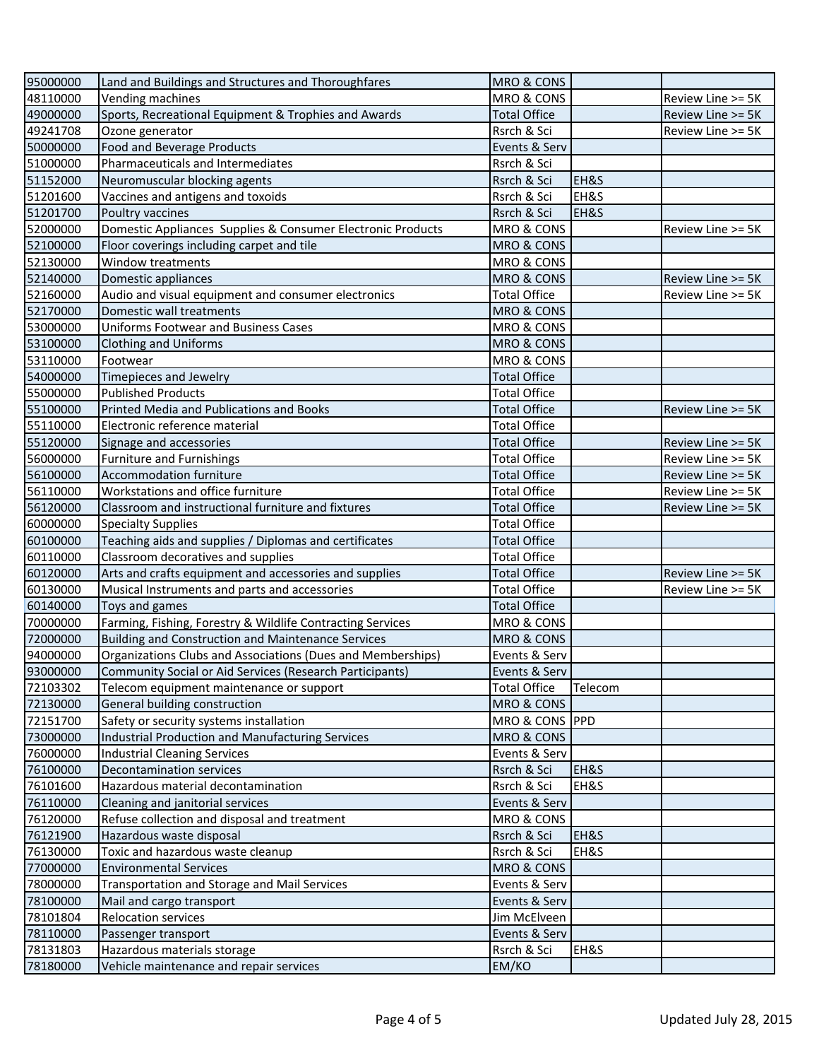| 95000000 | Land and Buildings and Structures and Thoroughfares         | MRO & CONS            |         |                   |
|----------|-------------------------------------------------------------|-----------------------|---------|-------------------|
| 48110000 | Vending machines                                            | MRO & CONS            |         | Review Line >= 5K |
| 49000000 | Sports, Recreational Equipment & Trophies and Awards        | <b>Total Office</b>   |         | Review Line >= 5K |
| 49241708 | Ozone generator                                             | Rsrch & Sci           |         | Review Line >= 5K |
| 50000000 | <b>Food and Beverage Products</b>                           | Events & Serv         |         |                   |
| 51000000 | Pharmaceuticals and Intermediates                           | Rsrch & Sci           |         |                   |
| 51152000 | Neuromuscular blocking agents                               | Rsrch & Sci           | EH&S    |                   |
| 51201600 | Vaccines and antigens and toxoids                           | Rsrch & Sci           | EH&S    |                   |
| 51201700 | Poultry vaccines                                            | Rsrch & Sci           | EH&S    |                   |
| 52000000 | Domestic Appliances Supplies & Consumer Electronic Products | MRO & CONS            |         | Review Line >= 5K |
| 52100000 | Floor coverings including carpet and tile                   | MRO & CONS            |         |                   |
| 52130000 | Window treatments                                           | MRO & CONS            |         |                   |
| 52140000 | Domestic appliances                                         | <b>MRO &amp; CONS</b> |         | Review Line >= 5K |
| 52160000 | Audio and visual equipment and consumer electronics         | <b>Total Office</b>   |         | Review Line >= 5K |
| 52170000 | Domestic wall treatments                                    | MRO & CONS            |         |                   |
| 53000000 | <b>Uniforms Footwear and Business Cases</b>                 | MRO & CONS            |         |                   |
| 53100000 | <b>Clothing and Uniforms</b>                                | <b>MRO &amp; CONS</b> |         |                   |
| 53110000 | Footwear                                                    | MRO & CONS            |         |                   |
| 54000000 | Timepieces and Jewelry                                      | <b>Total Office</b>   |         |                   |
| 55000000 | <b>Published Products</b>                                   | <b>Total Office</b>   |         |                   |
| 55100000 | Printed Media and Publications and Books                    | <b>Total Office</b>   |         | Review Line >= 5K |
| 55110000 | Electronic reference material                               | <b>Total Office</b>   |         |                   |
| 55120000 | Signage and accessories                                     | <b>Total Office</b>   |         | Review Line >= 5K |
| 56000000 | <b>Furniture and Furnishings</b>                            | <b>Total Office</b>   |         | Review Line >= 5K |
| 56100000 | Accommodation furniture                                     | <b>Total Office</b>   |         |                   |
|          |                                                             |                       |         | Review Line >= 5K |
| 56110000 | Workstations and office furniture                           | <b>Total Office</b>   |         | Review Line >= 5K |
| 56120000 | Classroom and instructional furniture and fixtures          | Total Office          |         | Review Line >= 5K |
| 60000000 | <b>Specialty Supplies</b>                                   | <b>Total Office</b>   |         |                   |
| 60100000 | Teaching aids and supplies / Diplomas and certificates      | <b>Total Office</b>   |         |                   |
| 60110000 | Classroom decoratives and supplies                          | <b>Total Office</b>   |         |                   |
| 60120000 | Arts and crafts equipment and accessories and supplies      | <b>Total Office</b>   |         | Review Line >= 5K |
| 60130000 | Musical Instruments and parts and accessories               | <b>Total Office</b>   |         | Review Line >= 5K |
| 60140000 | Toys and games                                              | <b>Total Office</b>   |         |                   |
| 70000000 | Farming, Fishing, Forestry & Wildlife Contracting Services  | MRO & CONS            |         |                   |
| 72000000 | <b>Building and Construction and Maintenance Services</b>   | <b>MRO &amp; CONS</b> |         |                   |
| 94000000 | Organizations Clubs and Associations (Dues and Memberships) | Events & Serv         |         |                   |
| 93000000 | Community Social or Aid Services (Research Participants)    | Events & Serv         |         |                   |
| 72103302 | Telecom equipment maintenance or support                    | <b>Total Office</b>   | Telecom |                   |
| 72130000 | General building construction                               | MRO & CONS            |         |                   |
| 72151700 | Safety or security systems installation                     | MRO & CONS PPD        |         |                   |
| 73000000 | Industrial Production and Manufacturing Services            | MRO & CONS            |         |                   |
| 76000000 | <b>Industrial Cleaning Services</b>                         | Events & Serv         |         |                   |
| 76100000 | <b>Decontamination services</b>                             | Rsrch & Sci           | EH&S    |                   |
| 76101600 | Hazardous material decontamination                          | Rsrch & Sci           | EH&S    |                   |
| 76110000 | Cleaning and janitorial services                            | Events & Serv         |         |                   |
| 76120000 | Refuse collection and disposal and treatment                | MRO & CONS            |         |                   |
| 76121900 | Hazardous waste disposal                                    | Rsrch & Sci           | EH&S    |                   |
| 76130000 | Toxic and hazardous waste cleanup                           | Rsrch & Sci           | EH&S    |                   |
| 77000000 | <b>Environmental Services</b>                               | MRO & CONS            |         |                   |
| 78000000 | Transportation and Storage and Mail Services                | Events & Serv         |         |                   |
| 78100000 | Mail and cargo transport                                    | Events & Serv         |         |                   |
| 78101804 | <b>Relocation services</b>                                  | Jim McElveen          |         |                   |
| 78110000 | Passenger transport                                         | Events & Serv         |         |                   |
| 78131803 | Hazardous materials storage                                 | Rsrch & Sci           | EH&S    |                   |
| 78180000 | Vehicle maintenance and repair services                     | EM/KO                 |         |                   |